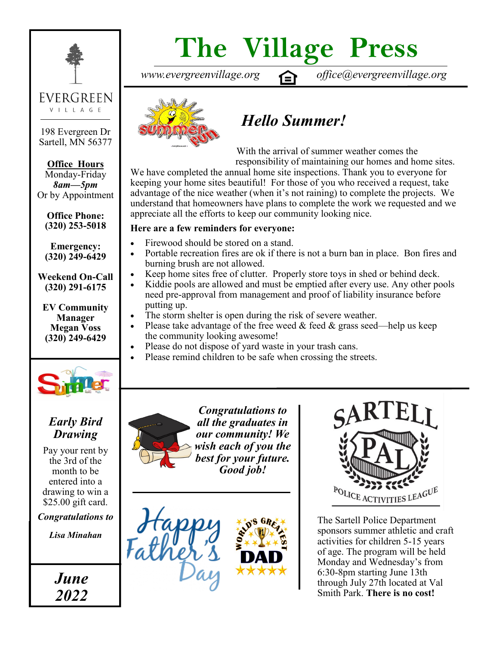

198 Evergreen Dr Sartell, MN 56377

**Office Hours** Monday-Friday *8am—5pm*  Or by Appointment

**Office Phone: (320) 253-5018** 

**Emergency: (320) 249-6429**

**Weekend On-Call (320) 291-6175**

**EV Community Manager Megan Voss (320) 249-6429**



#### *Early Bird Drawing*

Pay your rent by the 3rd of the month to be entered into a drawing to win a \$25.00 gift card.

*Congratulations to* 

*Lisa Minahan*



# **The Village Press**

*www.evergreenvillage.org office@evergreenvillage.org*



## *Hello Summer!*

With the arrival of summer weather comes the responsibility of maintaining our homes and home sites.

We have completed the annual home site inspections. Thank you to everyone for keeping your home sites beautiful! For those of you who received a request, take advantage of the nice weather (when it's not raining) to complete the projects. We understand that homeowners have plans to complete the work we requested and we appreciate all the efforts to keep our community looking nice.

#### **Here are a few reminders for everyone:**

- Firewood should be stored on a stand.
- Portable recreation fires are ok if there is not a burn ban in place. Bon fires and burning brush are not allowed.
- Keep home sites free of clutter. Properly store toys in shed or behind deck.
- Kiddie pools are allowed and must be emptied after every use. Any other pools need pre-approval from management and proof of liability insurance before putting up.
- The storm shelter is open during the risk of severe weather.
- Please take advantage of the free weed  $&$  feed  $&$  grass seed—help us keep the community looking awesome!
- Please do not dispose of yard waste in your trash cans.
- Please remind children to be safe when crossing the streets.







The Sartell Police Department sponsors summer athletic and craft activities for children 5-15 years of age. The program will be held Monday and Wednesday's from 6:30-8pm starting June 13th through July 27th located at Val Smith Park. **There is no cost!**